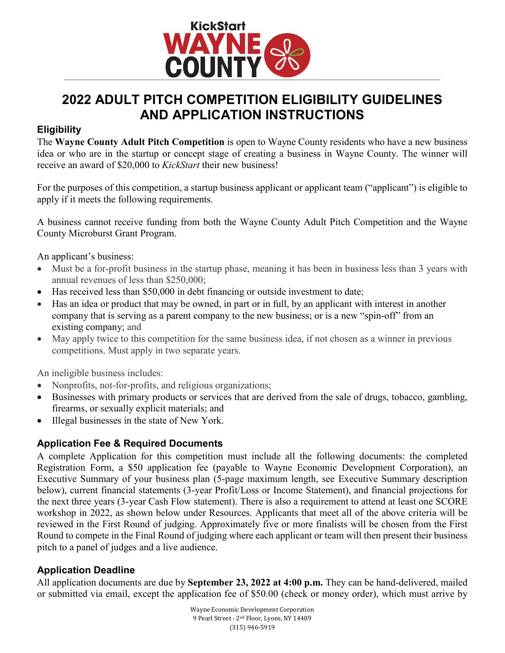

# **2022 ADULT PITCH COMPETITION ELIGIBILITY GUIDELINES AND APPLICATION INSTRUCTIONS**

#### **Eligibility**

The **Wayne County Adult Pitch Competition** is open to Wayne County residents who have a new business idea or who are in the startup or concept stage of creating a business in Wayne County. The winner will receive an award of \$20,000 to *KickStart* their new business!

For the purposes of this competition, a startup business applicant or applicant team ("applicant") is eligible to apply if it meets the following requirements.

A business cannot receive funding from both the Wayne County Adult Pitch Competition and the Wayne County Microburst Grant Program.

An applicant's business:

- Must be a for-profit business in the startup phase, meaning it has been in business less than 3 years with annual revenues of less than \$250,000;
- Has received less than \$50,000 in debt financing or outside investment to date;
- Has an idea or product that may be owned, in part or in full, by an applicant with interest in another company that is serving as a parent company to the new business; or is a new "spin-off" from an existing company; and
- May apply twice to this competition for the same business idea, if not chosen as a winner in previous competitions. Must apply in two separate years.

An ineligible business includes:

- Nonprofits, not-for-profits, and religious organizations;
- Businesses with primary products or services that are derived from the sale of drugs, tobacco, gambling, firearms, or sexually explicit materials; and
- Illegal businesses in the state of New York.

## **Application Fee & Required Documents**

A complete Application for this competition must include all the following documents: the completed Registration Form, a \$50 application fee (payable to Wayne Economic Development Corporation), an Executive Summary of your business plan (5-page maximum length, see Executive Summary description below), current financial statements (3-year Profit/Loss or Income Statement), and financial projections for the next three years (3-year Cash Flow statement). There is also a requirement to attend at least one SCORE workshop in 2022, as shown below under Resources. Applicants that meet all of the above criteria will be reviewed in the First Round of judging. Approximately five or more finalists will be chosen from the First Round to compete in the Final Round of judging where each applicant or team will then present their business pitch to a panel of judges and a live audience.

## **Application Deadline**

All application documents are due by **September 23, 2022 at 4:00 p.m.** They can be hand-delivered, mailed or submitted via email, except the application fee of \$50.00 (check or money order), which must arrive by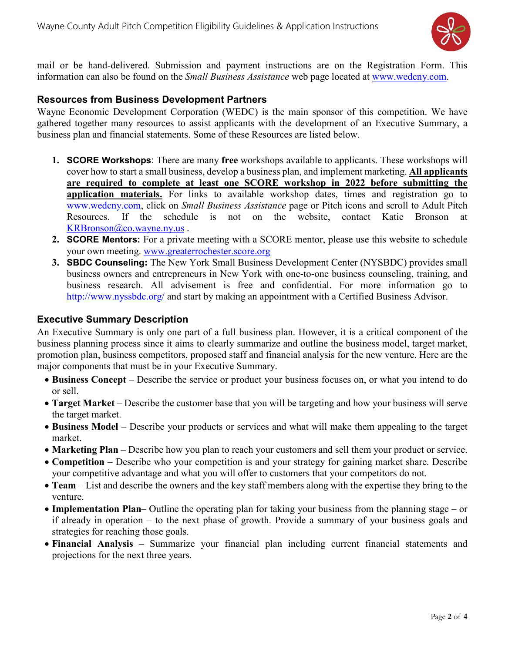

mail or be hand-delivered. Submission and payment instructions are on the Registration Form. This information can also be found on the *Small Business Assistance* web page located at [www.wedcny.com.](http://www.wedcny.com/)

#### **Resources from Business Development Partners**

Wayne Economic Development Corporation (WEDC) is the main sponsor of this competition. We have gathered together many resources to assist applicants with the development of an Executive Summary, a business plan and financial statements. Some of these Resources are listed below.

- **1. SCORE Workshops**: There are many **free** workshops available to applicants. These workshops will cover how to start a small business, develop a business plan, and implement marketing. **All applicants are required to complete at least one SCORE workshop in 2022 before submitting the application materials.** For links to available workshop dates, times and registration go to [www.wedcny.com,](http://www.wedcny.com/) click on *Small Business Assistance* page or Pitch icons and scroll to Adult Pitch Resources. If the schedule is not on the website, contact Katie Bronson at [KRBronson@co.wayne.ny.us](mailto:KRBronson@co.wayne.ny.us) .
- **2. SCORE Mentors:** For a private meeting with a SCORE mentor, please use this website to schedule your own meeting. [www.greaterrochester.score.org](http://www.greaterrochester.score.org/)
- **3. SBDC Counseling:** The New York Small Business Development Center (NYSBDC) provides small business owners and entrepreneurs in New York with one-to-one business counseling, training, and business research. All advisement is free and confidential. For more information go to <http://www.nyssbdc.org/> and start by making an appointment with a Certified Business Advisor.

#### **Executive Summary Description**

An Executive Summary is only one part of a full business plan. However, it is a critical component of the business planning process since it aims to clearly summarize and outline the business model, target market, promotion plan, business competitors, proposed staff and financial analysis for the new venture. Here are the major components that must be in your Executive Summary.

- **Business Concept**  Describe the service or product your business focuses on, or what you intend to do or sell.
- **Target Market** Describe the customer base that you will be targeting and how your business will serve the target market.
- **Business Model**  Describe your products or services and what will make them appealing to the target market.
- **Marketing Plan** Describe how you plan to reach your customers and sell them your product or service.
- **Competition** Describe who your competition is and your strategy for gaining market share. Describe your competitive advantage and what you will offer to customers that your competitors do not.
- **Team**  List and describe the owners and the key staff members along with the expertise they bring to the venture.
- **Implementation Plan** Outline the operating plan for taking your business from the planning stage or if already in operation – to the next phase of growth. Provide a summary of your business goals and strategies for reaching those goals.
- **Financial Analysis** Summarize your financial plan including current financial statements and projections for the next three years.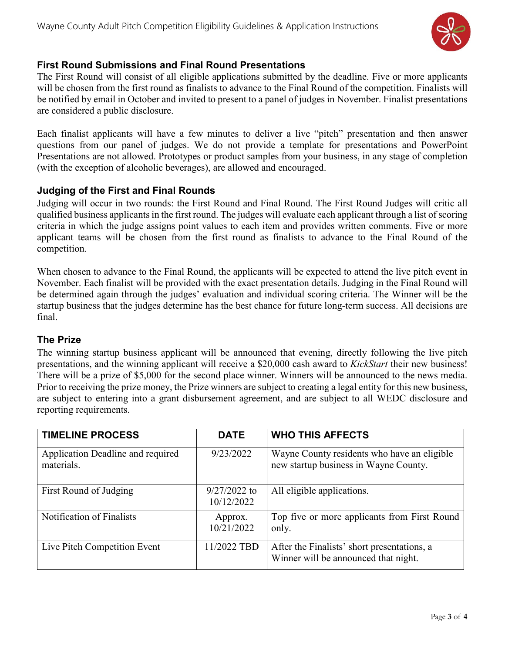

### **First Round Submissions and Final Round Presentations**

The First Round will consist of all eligible applications submitted by the deadline. Five or more applicants will be chosen from the first round as finalists to advance to the Final Round of the competition. Finalists will be notified by email in October and invited to present to a panel of judges in November. Finalist presentations are considered a public disclosure.

Each finalist applicants will have a few minutes to deliver a live "pitch" presentation and then answer questions from our panel of judges. We do not provide a template for presentations and PowerPoint Presentations are not allowed. Prototypes or product samples from your business, in any stage of completion (with the exception of alcoholic beverages), are allowed and encouraged.

#### **Judging of the First and Final Rounds**

Judging will occur in two rounds: the First Round and Final Round. The First Round Judges will critic all qualified business applicants in the first round. The judges will evaluate each applicant through a list of scoring criteria in which the judge assigns point values to each item and provides written comments. Five or more applicant teams will be chosen from the first round as finalists to advance to the Final Round of the competition.

When chosen to advance to the Final Round, the applicants will be expected to attend the live pitch event in November. Each finalist will be provided with the exact presentation details. Judging in the Final Round will be determined again through the judges' evaluation and individual scoring criteria. The Winner will be the startup business that the judges determine has the best chance for future long-term success. All decisions are final.

#### **The Prize**

The winning startup business applicant will be announced that evening, directly following the live pitch presentations, and the winning applicant will receive a \$20,000 cash award to *KickStart* their new business! There will be a prize of \$5,000 for the second place winner. Winners will be announced to the news media. Prior to receiving the prize money, the Prize winners are subject to creating a legal entity for this new business, are subject to entering into a grant disbursement agreement, and are subject to all WEDC disclosure and reporting requirements.

| <b>TIMELINE PROCESS</b>                         | <b>DATE</b>                  | <b>WHO THIS AFFECTS</b>                                                              |
|-------------------------------------------------|------------------------------|--------------------------------------------------------------------------------------|
| Application Deadline and required<br>materials. | 9/23/2022                    | Wayne County residents who have an eligible<br>new startup business in Wayne County. |
| First Round of Judging                          | $9/27/2022$ to<br>10/12/2022 | All eligible applications.                                                           |
| Notification of Finalists                       | Approx.<br>10/21/2022        | Top five or more applicants from First Round<br>only.                                |
| Live Pitch Competition Event                    | 11/2022 TBD                  | After the Finalists' short presentations, a<br>Winner will be announced that night.  |